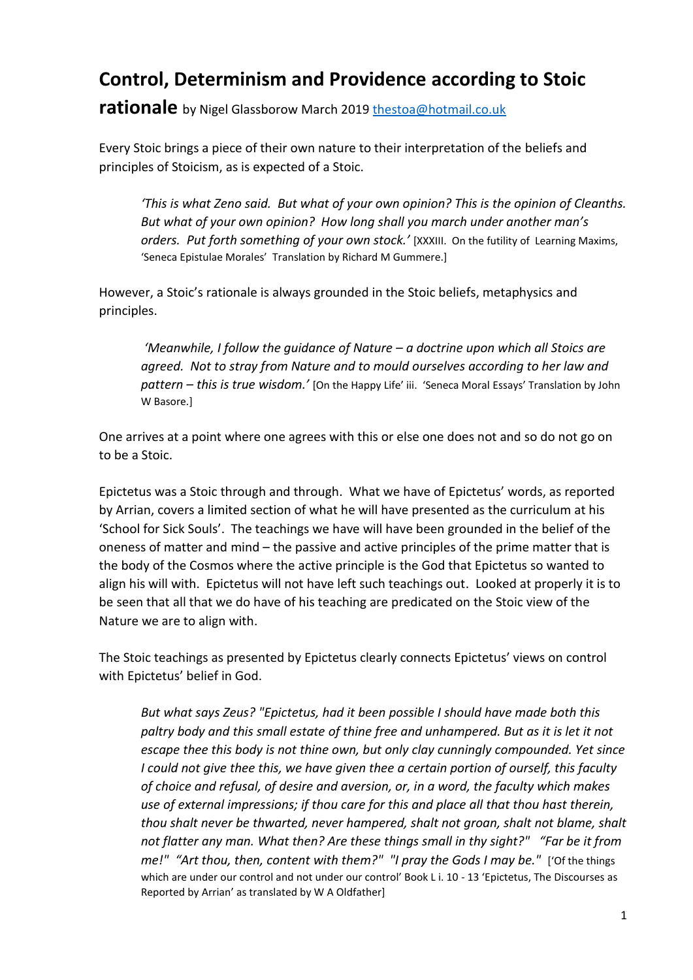## **Control, Determinism and Providence according to Stoic**

**rationale** by Nigel Glassborow March 2019 [thestoa@hotmail.co.uk](mailto:thestoa@hotmail.co.uk) 

Every Stoic brings a piece of their own nature to their interpretation of the beliefs and principles of Stoicism, as is expected of a Stoic.

*'This is what Zeno said. But what of your own opinion? This is the opinion of Cleanths. But what of your own opinion? How long shall you march under another man's orders. Put forth something of your own stock.'* [XXXIII. On the futility of Learning Maxims, 'Seneca Epistulae Morales' Translation by Richard M Gummere.]

However, a Stoic's rationale is always grounded in the Stoic beliefs, metaphysics and principles.

*'Meanwhile, I follow the guidance of Nature – a doctrine upon which all Stoics are agreed. Not to stray from Nature and to mould ourselves according to her law and pattern – this is true wisdom.'* [On the Happy Life' iii. 'Seneca Moral Essays' Translation by John W Basore.]

One arrives at a point where one agrees with this or else one does not and so do not go on to be a Stoic.

Epictetus was a Stoic through and through. What we have of Epictetus' words, as reported by Arrian, covers a limited section of what he will have presented as the curriculum at his 'School for Sick Souls'. The teachings we have will have been grounded in the belief of the oneness of matter and mind – the passive and active principles of the prime matter that is the body of the Cosmos where the active principle is the God that Epictetus so wanted to align his will with. Epictetus will not have left such teachings out. Looked at properly it is to be seen that all that we do have of his teaching are predicated on the Stoic view of the Nature we are to align with.

The Stoic teachings as presented by Epictetus clearly connects Epictetus' views on control with Epictetus' belief in God.

*But what says Zeus? "Epictetus, had it been possible I should have made both this paltry body and this small estate of thine free and unhampered. But as it is let it not escape thee this body is not thine own, but only clay cunningly compounded. Yet since I could not give thee this, we have given thee a certain portion of ourself, this faculty of choice and refusal, of desire and aversion, or, in a word, the faculty which makes use of external impressions; if thou care for this and place all that thou hast therein, thou shalt never be thwarted, never hampered, shalt not groan, shalt not blame, shalt not flatter any man. What then? Are these things small in thy sight?" "Far be it from me!" "Art thou, then, content with them?" "I pray the Gods I may be."* ['Of the things which are under our control and not under our control' Book L i. 10 - 13 'Epictetus, The Discourses as Reported by Arrian' as translated by W A Oldfather]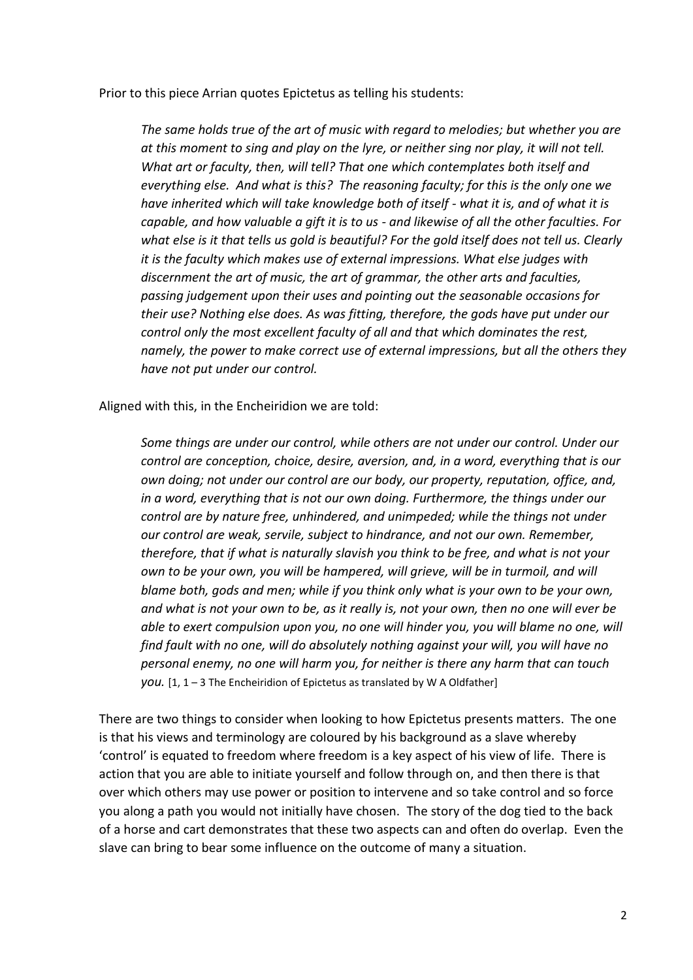Prior to this piece Arrian quotes Epictetus as telling his students:

*The same holds true of the art of music with regard to melodies; but whether you are at this moment to sing and play on the lyre, or neither sing nor play, it will not tell. What art or faculty, then, will tell? That one which contemplates both itself and everything else. And what is this? The reasoning faculty; for this is the only one we have inherited which will take knowledge both of itself - what it is, and of what it is capable, and how valuable a gift it is to us - and likewise of all the other faculties. For what else is it that tells us gold is beautiful? For the gold itself does not tell us. Clearly it is the faculty which makes use of external impressions. What else judges with discernment the art of music, the art of grammar, the other arts and faculties, passing judgement upon their uses and pointing out the seasonable occasions for their use? Nothing else does. As was fitting, therefore, the gods have put under our control only the most excellent faculty of all and that which dominates the rest, namely, the power to make correct use of external impressions, but all the others they have not put under our control.* 

Aligned with this, in the Encheiridion we are told:

*Some things are under our control, while others are not under our control. Under our control are conception, choice, desire, aversion, and, in a word, everything that is our own doing; not under our control are our body, our property, reputation, office, and, in a word, everything that is not our own doing. Furthermore, the things under our control are by nature free, unhindered, and unimpeded; while the things not under our control are weak, servile, subject to hindrance, and not our own. Remember, therefore, that if what is naturally slavish you think to be free, and what is not your own to be your own, you will be hampered, will grieve, will be in turmoil, and will blame both, gods and men; while if you think only what is your own to be your own, and what is not your own to be, as it really is, not your own, then no one will ever be able to exert compulsion upon you, no one will hinder you, you will blame no one, will find fault with no one, will do absolutely nothing against your will, you will have no personal enemy, no one will harm you, for neither is there any harm that can touch you.* [1, 1 – 3 The Encheiridion of Epictetus as translated by W A Oldfather]

There are two things to consider when looking to how Epictetus presents matters. The one is that his views and terminology are coloured by his background as a slave whereby 'control' is equated to freedom where freedom is a key aspect of his view of life. There is action that you are able to initiate yourself and follow through on, and then there is that over which others may use power or position to intervene and so take control and so force you along a path you would not initially have chosen. The story of the dog tied to the back of a horse and cart demonstrates that these two aspects can and often do overlap. Even the slave can bring to bear some influence on the outcome of many a situation.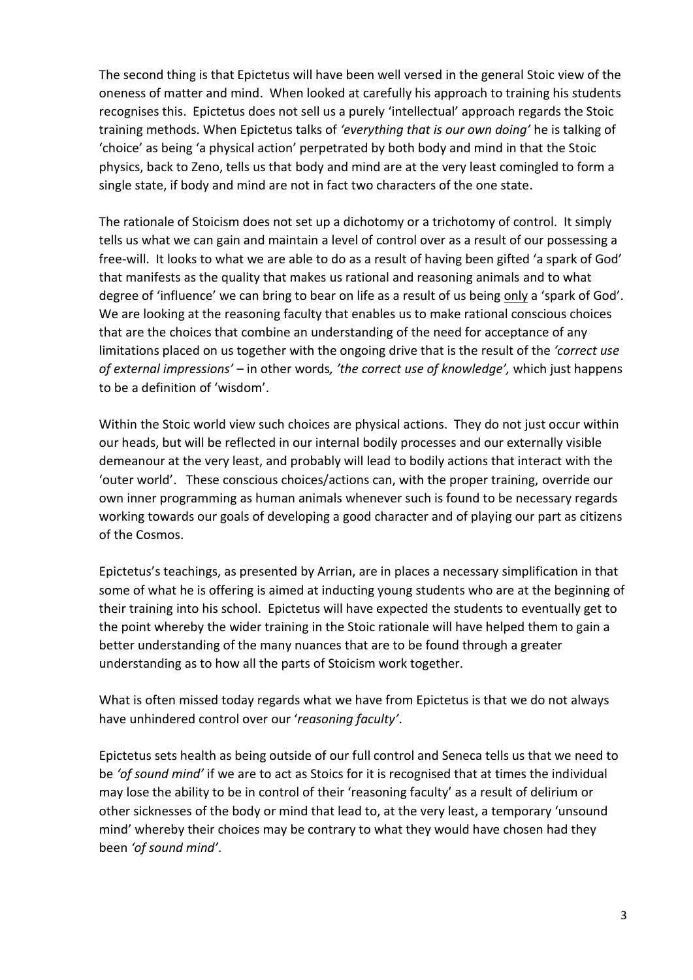The second thing is that Epictetus will have been well versed in the general Stoic view of the oneness of matter and mind. When looked at carefully his approach to training his students recognises this. Epictetus does not sell us a purely 'intellectual' approach regards the Stoic training methods. When Epictetus talks of *'everything that is our own doing'* he is talking of 'choice' as being 'a physical action' perpetrated by both body and mind in that the Stoic physics, back to Zeno, tells us that body and mind are at the very least comingled to form a single state, if body and mind are not in fact two characters of the one state.

The rationale of Stoicism does not set up a dichotomy or a trichotomy of control. It simply tells us what we can gain and maintain a level of control over as a result of our possessing a free-will. It looks to what we are able to do as a result of having been gifted 'a spark of God' that manifests as the quality that makes us rational and reasoning animals and to what degree of 'influence' we can bring to bear on life as a result of us being only a 'spark of God'. We are looking at the reasoning faculty that enables us to make rational conscious choices that are the choices that combine an understanding of the need for acceptance of any limitations placed on us together with the ongoing drive that is the result of the *'correct use of external impressions' –* in other words*, 'the correct use of knowledge',* which just happens to be a definition of 'wisdom'.

Within the Stoic world view such choices are physical actions. They do not just occur within our heads, but will be reflected in our internal bodily processes and our externally visible demeanour at the very least, and probably will lead to bodily actions that interact with the 'outer world'. These conscious choices/actions can, with the proper training, override our own inner programming as human animals whenever such is found to be necessary regards working towards our goals of developing a good character and of playing our part as citizens of the Cosmos.

Epictetus's teachings, as presented by Arrian, are in places a necessary simplification in that some of what he is offering is aimed at inducting young students who are at the beginning of their training into his school. Epictetus will have expected the students to eventually get to the point whereby the wider training in the Stoic rationale will have helped them to gain a better understanding of the many nuances that are to be found through a greater understanding as to how all the parts of Stoicism work together.

What is often missed today regards what we have from Epictetus is that we do not always have unhindered control over our '*reasoning faculty'*.

Epictetus sets health as being outside of our full control and Seneca tells us that we need to be *'of sound mind'* if we are to act as Stoics for it is recognised that at times the individual may lose the ability to be in control of their 'reasoning faculty' as a result of delirium or other sicknesses of the body or mind that lead to, at the very least, a temporary 'unsound mind' whereby their choices may be contrary to what they would have chosen had they been *'of sound mind'*.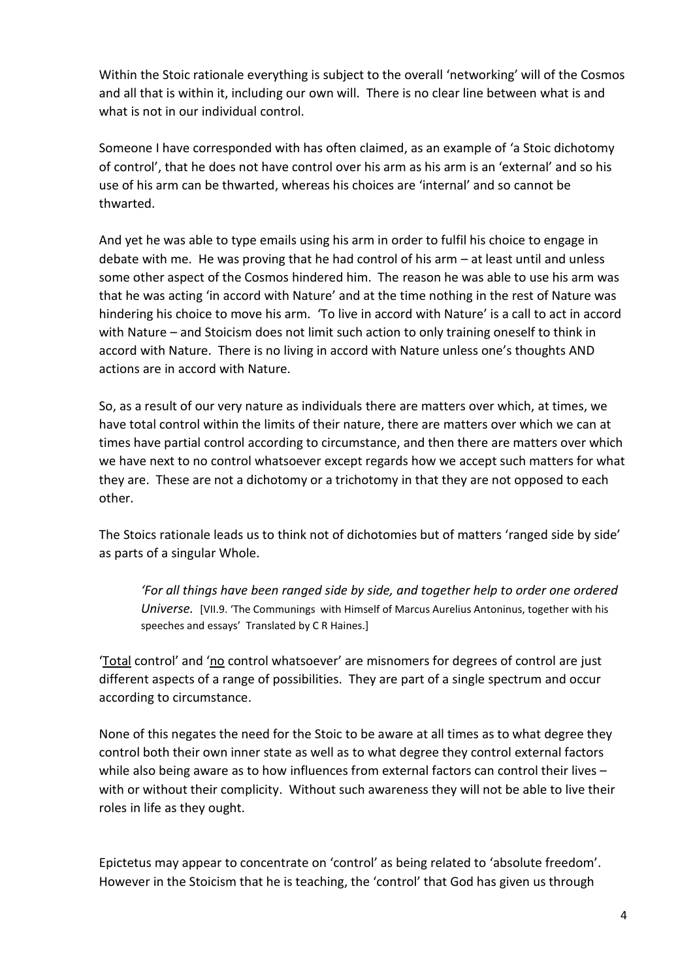Within the Stoic rationale everything is subject to the overall 'networking' will of the Cosmos and all that is within it, including our own will. There is no clear line between what is and what is not in our individual control.

Someone I have corresponded with has often claimed, as an example of 'a Stoic dichotomy of control', that he does not have control over his arm as his arm is an 'external' and so his use of his arm can be thwarted, whereas his choices are 'internal' and so cannot be thwarted.

And yet he was able to type emails using his arm in order to fulfil his choice to engage in debate with me. He was proving that he had control of his arm – at least until and unless some other aspect of the Cosmos hindered him. The reason he was able to use his arm was that he was acting 'in accord with Nature' and at the time nothing in the rest of Nature was hindering his choice to move his arm. 'To live in accord with Nature' is a call to act in accord with Nature – and Stoicism does not limit such action to only training oneself to think in accord with Nature. There is no living in accord with Nature unless one's thoughts AND actions are in accord with Nature.

So, as a result of our very nature as individuals there are matters over which, at times, we have total control within the limits of their nature, there are matters over which we can at times have partial control according to circumstance, and then there are matters over which we have next to no control whatsoever except regards how we accept such matters for what they are. These are not a dichotomy or a trichotomy in that they are not opposed to each other.

The Stoics rationale leads us to think not of dichotomies but of matters 'ranged side by side' as parts of a singular Whole.

*'For all things have been ranged side by side, and together help to order one ordered Universe.* [VII.9. 'The Communings with Himself of Marcus Aurelius Antoninus, together with his speeches and essays' Translated by C R Haines.]

'Total control' and 'no control whatsoever' are misnomers for degrees of control are just different aspects of a range of possibilities. They are part of a single spectrum and occur according to circumstance.

None of this negates the need for the Stoic to be aware at all times as to what degree they control both their own inner state as well as to what degree they control external factors while also being aware as to how influences from external factors can control their lives – with or without their complicity. Without such awareness they will not be able to live their roles in life as they ought.

Epictetus may appear to concentrate on 'control' as being related to 'absolute freedom'. However in the Stoicism that he is teaching, the 'control' that God has given us through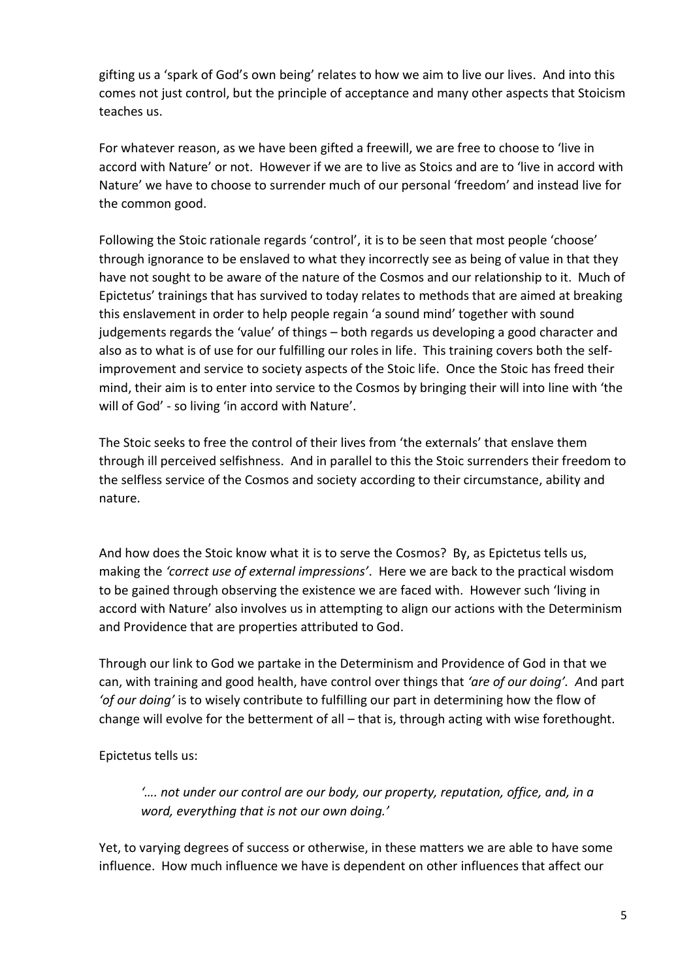gifting us a 'spark of God's own being' relates to how we aim to live our lives. And into this comes not just control, but the principle of acceptance and many other aspects that Stoicism teaches us.

For whatever reason, as we have been gifted a freewill, we are free to choose to 'live in accord with Nature' or not. However if we are to live as Stoics and are to 'live in accord with Nature' we have to choose to surrender much of our personal 'freedom' and instead live for the common good.

Following the Stoic rationale regards 'control', it is to be seen that most people 'choose' through ignorance to be enslaved to what they incorrectly see as being of value in that they have not sought to be aware of the nature of the Cosmos and our relationship to it. Much of Epictetus' trainings that has survived to today relates to methods that are aimed at breaking this enslavement in order to help people regain 'a sound mind' together with sound judgements regards the 'value' of things – both regards us developing a good character and also as to what is of use for our fulfilling our roles in life. This training covers both the selfimprovement and service to society aspects of the Stoic life. Once the Stoic has freed their mind, their aim is to enter into service to the Cosmos by bringing their will into line with 'the will of God' - so living 'in accord with Nature'.

The Stoic seeks to free the control of their lives from 'the externals' that enslave them through ill perceived selfishness. And in parallel to this the Stoic surrenders their freedom to the selfless service of the Cosmos and society according to their circumstance, ability and nature.

And how does the Stoic know what it is to serve the Cosmos? By, as Epictetus tells us, making the *'correct use of external impressions'*. Here we are back to the practical wisdom to be gained through observing the existence we are faced with. However such 'living in accord with Nature' also involves us in attempting to align our actions with the Determinism and Providence that are properties attributed to God.

Through our link to God we partake in the Determinism and Providence of God in that we can, with training and good health, have control over things that *'are of our doing'. A*nd part *'of our doing'* is to wisely contribute to fulfilling our part in determining how the flow of change will evolve for the betterment of all – that is, through acting with wise forethought.

Epictetus tells us:

*'…. not under our control are our body, our property, reputation, office, and, in a word, everything that is not our own doing.'*

Yet, to varying degrees of success or otherwise, in these matters we are able to have some influence. How much influence we have is dependent on other influences that affect our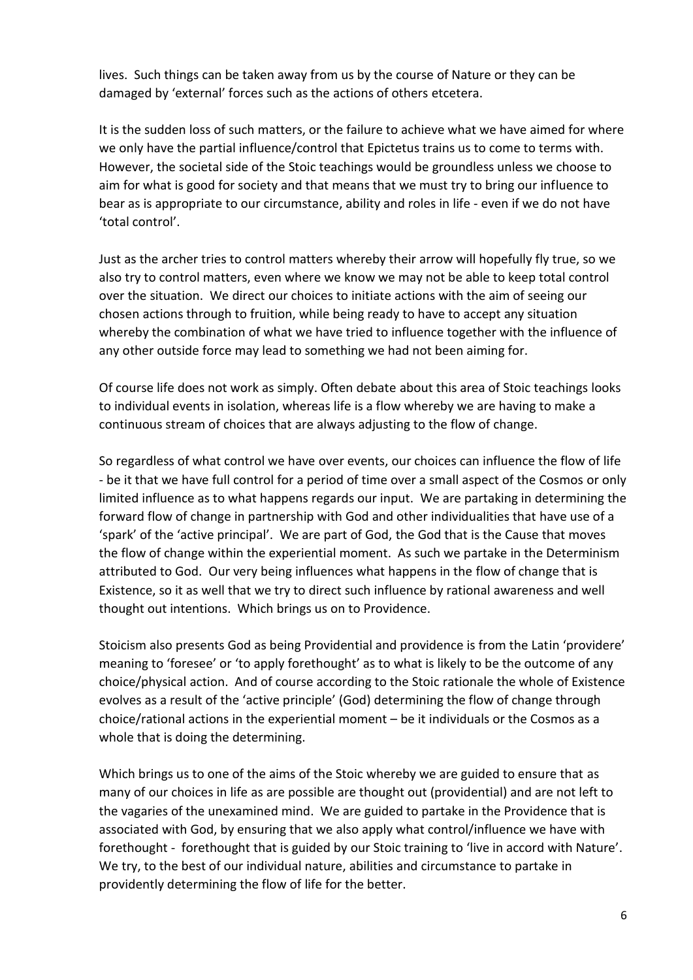lives. Such things can be taken away from us by the course of Nature or they can be damaged by 'external' forces such as the actions of others etcetera.

It is the sudden loss of such matters, or the failure to achieve what we have aimed for where we only have the partial influence/control that Epictetus trains us to come to terms with. However, the societal side of the Stoic teachings would be groundless unless we choose to aim for what is good for society and that means that we must try to bring our influence to bear as is appropriate to our circumstance, ability and roles in life - even if we do not have 'total control'.

Just as the archer tries to control matters whereby their arrow will hopefully fly true, so we also try to control matters, even where we know we may not be able to keep total control over the situation. We direct our choices to initiate actions with the aim of seeing our chosen actions through to fruition, while being ready to have to accept any situation whereby the combination of what we have tried to influence together with the influence of any other outside force may lead to something we had not been aiming for.

Of course life does not work as simply. Often debate about this area of Stoic teachings looks to individual events in isolation, whereas life is a flow whereby we are having to make a continuous stream of choices that are always adjusting to the flow of change.

So regardless of what control we have over events, our choices can influence the flow of life - be it that we have full control for a period of time over a small aspect of the Cosmos or only limited influence as to what happens regards our input. We are partaking in determining the forward flow of change in partnership with God and other individualities that have use of a 'spark' of the 'active principal'. We are part of God, the God that is the Cause that moves the flow of change within the experiential moment. As such we partake in the Determinism attributed to God. Our very being influences what happens in the flow of change that is Existence, so it as well that we try to direct such influence by rational awareness and well thought out intentions. Which brings us on to Providence.

Stoicism also presents God as being Providential and providence is from the Latin 'providere' meaning to 'foresee' or 'to apply forethought' as to what is likely to be the outcome of any choice/physical action. And of course according to the Stoic rationale the whole of Existence evolves as a result of the 'active principle' (God) determining the flow of change through choice/rational actions in the experiential moment – be it individuals or the Cosmos as a whole that is doing the determining.

Which brings us to one of the aims of the Stoic whereby we are guided to ensure that as many of our choices in life as are possible are thought out (providential) and are not left to the vagaries of the unexamined mind. We are guided to partake in the Providence that is associated with God, by ensuring that we also apply what control/influence we have with forethought - forethought that is guided by our Stoic training to 'live in accord with Nature'. We try, to the best of our individual nature, abilities and circumstance to partake in providently determining the flow of life for the better.